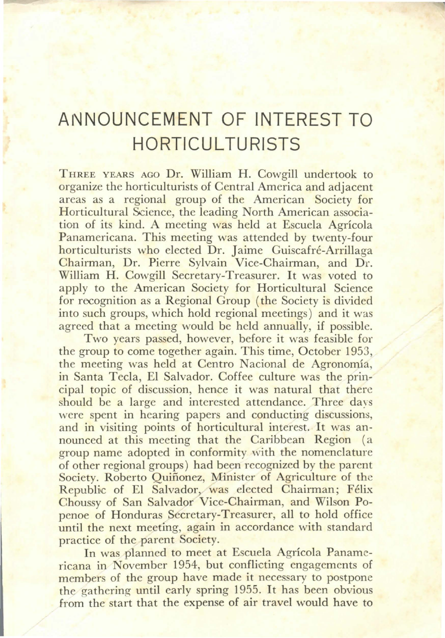## **ANNOUNCEMENT OF INTEREST TO HORTICUL TURISTS**

THREE YEARS AGO Dr. William H. Cowgill undertook to organize the horticulturists of Central America and adjacent areas as a regional group of the American Society for Horticultura! Science, the leading North American association of its kind. A meeting was held at Escuela Agrícola Panamericana. This meeting was attended by twenty-four horticulturists who elected Dr. Jaime Guiscafré-Arrillaga Chairman, Dr. Pierre Sylvain Vice-Chairman, and Dr. William H. Cowgill Secretary-Treasurer. It was voted to apply to the American Society for Horticultural Science for recognition as a Regional Group (the Society is divided into such groups, which hold regional meetings) and it was agreed that a meeting would be held annually, if possible.

Two years passed, however, before it was feasible for the group to come together again. This time, October 1953, the meeting was held at Centro Nacional de Agronomía, in Santa Tecla, El Salvador. Coffee culture was the principal topic of discussion, hence it was natural that therc should be a large and interested attendance. Three days were spent in hearing papers and conducting discussions, and in visiting points of horticultural interest. It was announced at this meeting that the Caribbean Region (a group name adopted in conformity with the nomenclature of other regional groups) had been rccognized by the parent Society. Roberto Quiñonez, Minister of Agriculture of the Republic of El Salvador, was elected Chairman; Félix Choussy of San Salvador Vice-Chairman, and Wilson Popenoe of Honduras Secretary-Treasurer, all to hold office until the next meeting, again in accordance with standard practice of the parent Society.

In was planned to meet at Escuela Agrícola Panamericana in November 1954, but conflicting engagements of members of the group have made it necessary to postpone the gathering until early spring 1955. It has been obvious from the start that the expense of air travel would have to